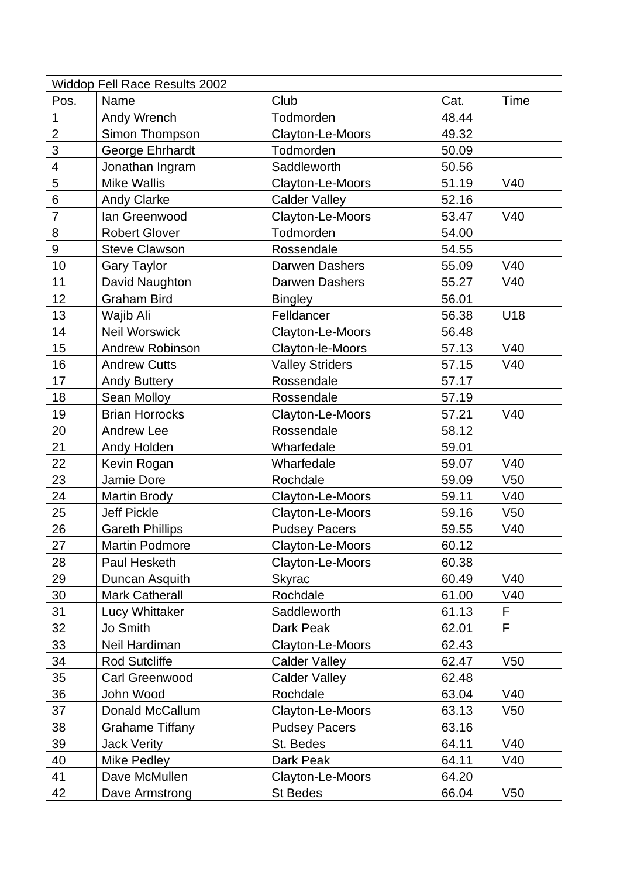| <b>Widdop Fell Race Results 2002</b> |                        |                        |       |                 |  |  |  |
|--------------------------------------|------------------------|------------------------|-------|-----------------|--|--|--|
| Pos.                                 | Name                   | Club                   | Cat.  | Time            |  |  |  |
| 1                                    | Andy Wrench            | Todmorden              | 48.44 |                 |  |  |  |
| $\overline{2}$                       | Simon Thompson         | Clayton-Le-Moors       | 49.32 |                 |  |  |  |
| 3                                    | George Ehrhardt        | Todmorden              | 50.09 |                 |  |  |  |
| 4                                    | Jonathan Ingram        | Saddleworth            | 50.56 |                 |  |  |  |
| 5                                    | <b>Mike Wallis</b>     | Clayton-Le-Moors       | 51.19 | V40             |  |  |  |
| 6                                    | <b>Andy Clarke</b>     | <b>Calder Valley</b>   | 52.16 |                 |  |  |  |
| $\overline{7}$                       | lan Greenwood          | Clayton-Le-Moors       | 53.47 | V40             |  |  |  |
| 8                                    | <b>Robert Glover</b>   | Todmorden              | 54.00 |                 |  |  |  |
| 9                                    | <b>Steve Clawson</b>   | Rossendale             | 54.55 |                 |  |  |  |
| 10                                   | <b>Gary Taylor</b>     | Darwen Dashers         | 55.09 | V40             |  |  |  |
| 11                                   | David Naughton         | Darwen Dashers         | 55.27 | V40             |  |  |  |
| 12                                   | <b>Graham Bird</b>     | <b>Bingley</b>         | 56.01 |                 |  |  |  |
| 13                                   | Wajib Ali              | Felldancer             | 56.38 | U18             |  |  |  |
| 14                                   | <b>Neil Worswick</b>   | Clayton-Le-Moors       | 56.48 |                 |  |  |  |
| 15                                   | <b>Andrew Robinson</b> | Clayton-le-Moors       | 57.13 | V40             |  |  |  |
| 16                                   | <b>Andrew Cutts</b>    | <b>Valley Striders</b> | 57.15 | V40             |  |  |  |
| 17                                   | <b>Andy Buttery</b>    | Rossendale             | 57.17 |                 |  |  |  |
| 18                                   | Sean Molloy            | Rossendale             | 57.19 |                 |  |  |  |
| 19                                   | <b>Brian Horrocks</b>  | Clayton-Le-Moors       | 57.21 | V40             |  |  |  |
| 20                                   | Andrew Lee             | Rossendale             | 58.12 |                 |  |  |  |
| 21                                   | Andy Holden            | Wharfedale             | 59.01 |                 |  |  |  |
| 22                                   | Kevin Rogan            | Wharfedale             | 59.07 | V40             |  |  |  |
| 23                                   | Jamie Dore             | Rochdale               | 59.09 | V <sub>50</sub> |  |  |  |
| 24                                   | <b>Martin Brody</b>    | Clayton-Le-Moors       | 59.11 | V40             |  |  |  |
| 25                                   | Jeff Pickle            | Clayton-Le-Moors       | 59.16 | V <sub>50</sub> |  |  |  |
| 26                                   | <b>Gareth Phillips</b> | <b>Pudsey Pacers</b>   | 59.55 | V40             |  |  |  |
| 27                                   | <b>Martin Podmore</b>  | Clayton-Le-Moors       | 60.12 |                 |  |  |  |
| 28                                   | Paul Hesketh           | Clayton-Le-Moors       | 60.38 |                 |  |  |  |
| 29                                   | Duncan Asquith         | <b>Skyrac</b>          | 60.49 | V40             |  |  |  |
| 30                                   | <b>Mark Catherall</b>  | Rochdale               | 61.00 | V40             |  |  |  |
| 31                                   | Lucy Whittaker         | Saddleworth            | 61.13 | F               |  |  |  |
| 32                                   | Jo Smith               | Dark Peak              | 62.01 | F               |  |  |  |
| 33                                   | Neil Hardiman          | Clayton-Le-Moors       | 62.43 |                 |  |  |  |
| 34                                   | <b>Rod Sutcliffe</b>   | <b>Calder Valley</b>   | 62.47 | V <sub>50</sub> |  |  |  |
| 35                                   | Carl Greenwood         | <b>Calder Valley</b>   | 62.48 |                 |  |  |  |
| 36                                   | John Wood              | Rochdale               | 63.04 | V40             |  |  |  |
| 37                                   | Donald McCallum        | Clayton-Le-Moors       | 63.13 | V <sub>50</sub> |  |  |  |
| 38                                   | <b>Grahame Tiffany</b> | <b>Pudsey Pacers</b>   | 63.16 |                 |  |  |  |
| 39                                   | <b>Jack Verity</b>     | St. Bedes              | 64.11 | V40             |  |  |  |
| 40                                   | Mike Pedley            | Dark Peak              | 64.11 | V40             |  |  |  |
| 41                                   | Dave McMullen          | Clayton-Le-Moors       | 64.20 |                 |  |  |  |
| 42                                   | Dave Armstrong         | <b>St Bedes</b>        | 66.04 | V <sub>50</sub> |  |  |  |